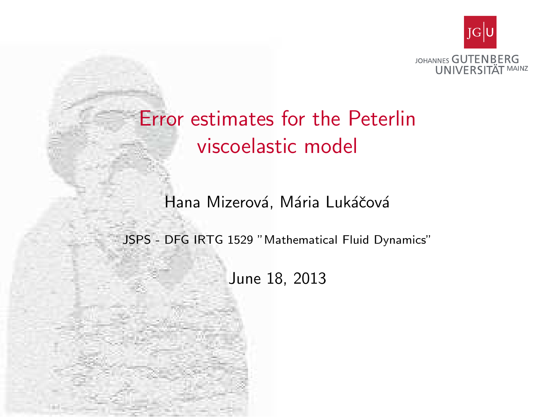

# Error estimates for the Peterlin viscoelastic model

Hana Mizerová, Mária Lukáčová

<span id="page-0-0"></span>JSPS - DFG IRTG 1529 "Mathematical Fluid Dynamics"

June 18, 2013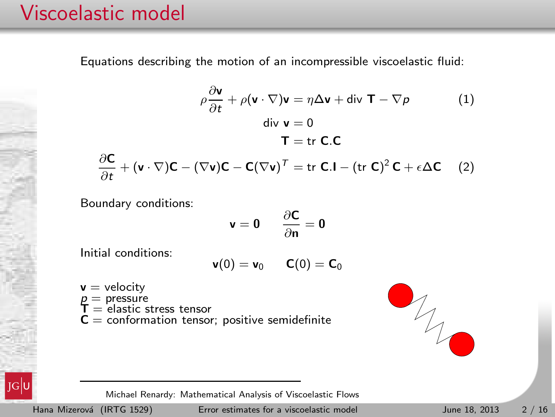## Viscoelastic model

Equations describing the motion of an incompressible viscoelastic fluid:

$$
\rho \frac{\partial \mathbf{v}}{\partial t} + \rho (\mathbf{v} \cdot \nabla) \mathbf{v} = \eta \Delta \mathbf{v} + \text{div } \mathbf{T} - \nabla \rho \tag{1}
$$
\n
$$
\text{div } \mathbf{v} = 0
$$
\n
$$
\mathbf{T} = \text{tr } \mathbf{C}.\mathbf{C}
$$
\n
$$
\frac{\partial \mathbf{C}}{\partial t} + (\mathbf{v} \cdot \nabla) \mathbf{C} - (\nabla \mathbf{v}) \mathbf{C} - \mathbf{C} (\nabla \mathbf{v})^T = \text{tr } \mathbf{C}.\mathbf{I} - (\text{tr } \mathbf{C})^2 \mathbf{C} + \epsilon \Delta \mathbf{C} \tag{2}
$$

Boundary conditions:

$$
\mathbf{v} = \mathbf{0} \qquad \frac{\partial \mathbf{C}}{\partial \mathbf{n}} = \mathbf{0}
$$

Initial conditions:

$$
\mathbf{v}(0)=\mathbf{v}_0\qquad \mathbf{C}(0)=\mathbf{C}_0
$$

 $v =$  velocity  $p =$  pressure<br> $T =$  elastic stress tensor  $C =$  conformation tensor; positive semidefinite

<span id="page-1-1"></span><span id="page-1-0"></span>



Michael Renardy: Mathematical Analysis of Viscoelastic Flows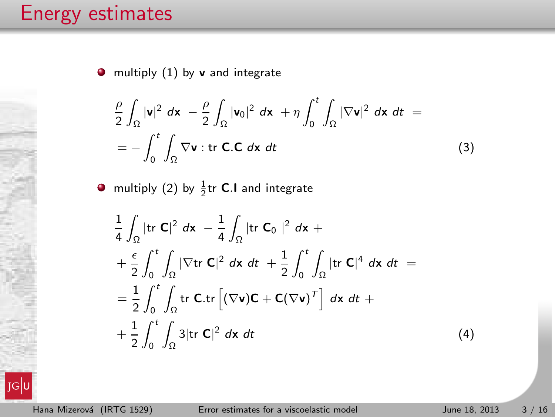$\bullet$  multiply  $(1)$  by v and integrate

<span id="page-2-0"></span>
$$
\frac{\rho}{2} \int_{\Omega} |\mathbf{v}|^2 dx - \frac{\rho}{2} \int_{\Omega} |\mathbf{v}_0|^2 dx + \eta \int_0^t \int_{\Omega} |\nabla \mathbf{v}|^2 dx dt =
$$
\n
$$
= - \int_0^t \int_{\Omega} \nabla \mathbf{v} : \text{tr } \mathbf{C}.\mathbf{C} dx dt
$$
\n(3)

multiply [\(2\)](#page-1-1) by  $\frac{1}{2}$ tr **C**.I and integrate

<span id="page-2-1"></span>
$$
\frac{1}{4} \int_{\Omega} |\text{tr } C|^2 dx - \frac{1}{4} \int_{\Omega} |\text{tr } C_0|^2 dx +
$$
\n
$$
+ \frac{\epsilon}{2} \int_0^t \int_{\Omega} |\nabla \text{tr } C|^2 dx dt + \frac{1}{2} \int_0^t \int_{\Omega} |\text{tr } C|^4 dx dt =
$$
\n
$$
= \frac{1}{2} \int_0^t \int_{\Omega} \text{tr } C \text{tr} [(\nabla v)C + C(\nabla v)^T] dx dt +
$$
\n
$$
+ \frac{1}{2} \int_0^t \int_{\Omega} 3 |\text{tr } C|^2 dx dt
$$
\n(4)

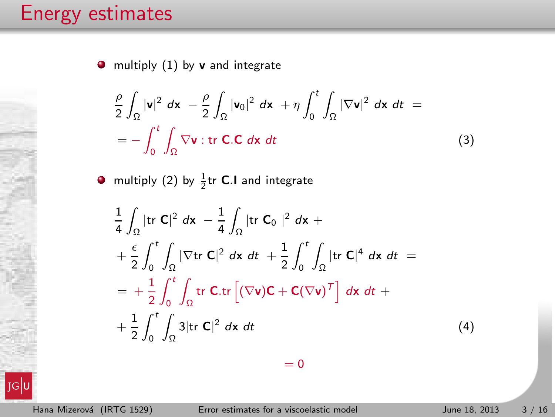$\bullet$  multiply [\(1\)](#page-1-0) by v and integrate

$$
\frac{\rho}{2} \int_{\Omega} |\mathbf{v}|^2 dx - \frac{\rho}{2} \int_{\Omega} |\mathbf{v}_0|^2 dx + \eta \int_0^t \int_{\Omega} |\nabla \mathbf{v}|^2 dx dt =
$$
\n
$$
= - \int_0^t \int_{\Omega} \nabla \mathbf{v} : \text{tr } \mathbf{C}.\mathbf{C} dx dt
$$
\n(3)

multiply [\(2\)](#page-1-1) by  $\frac{1}{2}$ tr **C**.I and integrate

$$
\frac{1}{4} \int_{\Omega} |\text{tr } C|^2 dx - \frac{1}{4} \int_{\Omega} |\text{tr } C_0|^2 dx +
$$
\n
$$
+ \frac{\epsilon}{2} \int_0^t \int_{\Omega} |\nabla \text{tr } C|^2 dx dt + \frac{1}{2} \int_0^t \int_{\Omega} |\text{tr } C|^4 dx dt =
$$
\n
$$
= + \frac{1}{2} \int_0^t \int_{\Omega} \text{tr } C \cdot \text{tr} \left[ (\nabla v) C + C (\nabla v)^T \right] dx dt +
$$
\n
$$
+ \frac{1}{2} \int_0^t \int_{\Omega} 3 |\text{tr } C|^2 dx dt \tag{4}
$$

 $= 0$ 

 $JG$ U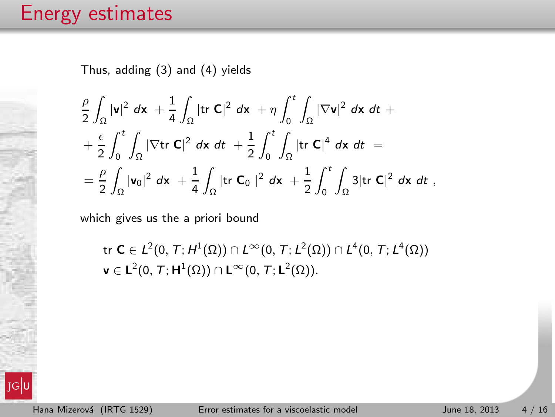Thus, adding [\(3\)](#page-2-0) and [\(4\)](#page-2-1) yields

$$
\frac{\rho}{2}\int_{\Omega}|\mathbf{v}|^2 dx + \frac{1}{4}\int_{\Omega}|\text{tr }\mathbf{C}|^2 dx + \eta \int_0^t \int_{\Omega}|\nabla \mathbf{v}|^2 dx dt +
$$
  
+ 
$$
\frac{\epsilon}{2}\int_0^t \int_{\Omega}|\nabla \text{tr }\mathbf{C}|^2 dx dt + \frac{1}{2}\int_0^t \int_{\Omega}|\text{tr }\mathbf{C}|^4 dx dt =
$$
  
= 
$$
\frac{\rho}{2}\int_{\Omega}|\mathbf{v}_0|^2 dx + \frac{1}{4}\int_{\Omega}|\text{tr }\mathbf{C}_0|^2 dx + \frac{1}{2}\int_0^t \int_{\Omega} 3|\text{tr }\mathbf{C}|^2 dx dt,
$$

which gives us the a priori bound

$$
\begin{aligned} &\text{tr }\mathbf{C}\in L^2(0,\,T;\,H^1(\Omega))\cap L^\infty(0,\,T;\,L^2(\Omega))\cap L^4(0,\,T;\,L^4(\Omega))\\ &\text{v }\in\mathbf{L}^2(0,\,T;\mathbf{H}^1(\Omega))\cap \mathbf{L}^\infty(0,\,T;\mathbf{L}^2(\Omega)).\end{aligned}
$$

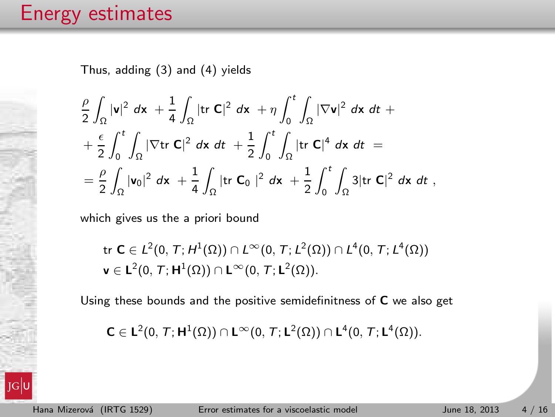Thus, adding [\(3\)](#page-2-0) and [\(4\)](#page-2-1) yields

$$
\frac{\rho}{2}\int_{\Omega}|\mathbf{v}|^2 dx + \frac{1}{4}\int_{\Omega}|\text{tr }\mathbf{C}|^2 dx + \eta \int_0^t \int_{\Omega}|\nabla \mathbf{v}|^2 dx dt +
$$
  
+ 
$$
\frac{\epsilon}{2}\int_0^t \int_{\Omega}|\nabla \text{tr }\mathbf{C}|^2 dx dt + \frac{1}{2}\int_0^t \int_{\Omega}|\text{tr }\mathbf{C}|^4 dx dt =
$$
  
= 
$$
\frac{\rho}{2}\int_{\Omega}|\mathbf{v}_0|^2 dx + \frac{1}{4}\int_{\Omega}|\text{tr }\mathbf{C}_0|^2 dx + \frac{1}{2}\int_0^t \int_{\Omega} 3|\text{tr }\mathbf{C}|^2 dx dt,
$$

which gives us the a priori bound

$$
\begin{aligned} &\text{tr }\mathbf{C}\in L^2(0,\,T;\,H^1(\Omega))\cap L^\infty(0,\,T;\,L^2(\Omega))\cap L^4(0,\,T;\,L^4(\Omega))\\ &\text{v }\in\mathbf{L}^2(0,\,T;\mathbf{H}^1(\Omega))\cap \mathbf{L}^\infty(0,\,T;\mathbf{L}^2(\Omega)).\end{aligned}
$$

Using these bounds and the positive semidefinitness of C we also get

$$
\textbf{C}\in \textbf{L}^2(0,\, \mathcal{T};\, \textbf{H}^1(\Omega))\cap \textbf{L}^{\infty}(0,\, \mathcal{T};\, \textbf{L}^2(\Omega))\cap \textbf{L}^4(0,\, \mathcal{T};\, \textbf{L}^4(\Omega)).
$$

 $JG$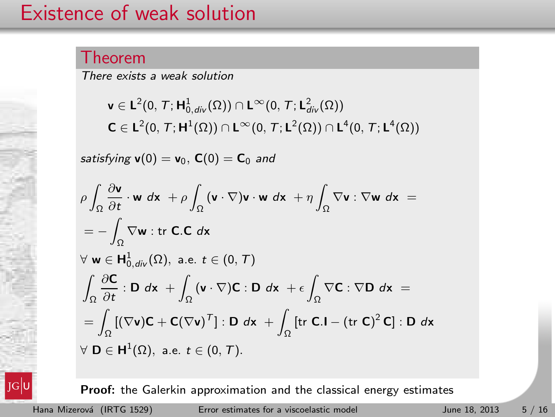### Existence of weak solution

#### Theorem

There exists a weak solution

$$
\begin{aligned} &\textbf{v}\in L^2(0,\,T;\textbf{H}^1_{0,\textit{div}}(\Omega))\cap L^\infty(0,\,T;\textbf{L}^2_{\textit{div}}(\Omega))\\ &\textbf{C}\in L^2(0,\,T;\textbf{H}^1(\Omega))\cap L^\infty(0,\,T;\textbf{L}^2(\Omega))\cap L^4(0,\,T;\textbf{L}^4(\Omega)) \end{aligned}
$$

satisfying  $v(0) = v_0$ ,  $C(0) = C_0$  and

$$
\rho \int_{\Omega} \frac{\partial \mathbf{v}}{\partial t} \cdot \mathbf{w} \, d\mathbf{x} + \rho \int_{\Omega} (\mathbf{v} \cdot \nabla) \mathbf{v} \cdot \mathbf{w} \, d\mathbf{x} + \eta \int_{\Omega} \nabla \mathbf{v} : \nabla \mathbf{w} \, d\mathbf{x} =
$$
\n
$$
= - \int_{\Omega} \nabla \mathbf{w} : \text{tr } \mathbf{C}.\mathbf{C} \, d\mathbf{x}
$$
\n
$$
\forall \mathbf{w} \in \mathbf{H}_{0, div}^{1}(\Omega), \text{ a.e. } t \in (0, T)
$$
\n
$$
\int_{\Omega} \frac{\partial \mathbf{C}}{\partial t} : \mathbf{D} \, d\mathbf{x} + \int_{\Omega} (\mathbf{v} \cdot \nabla) \mathbf{C} : \mathbf{D} \, d\mathbf{x} + \epsilon \int_{\Omega} \nabla \mathbf{C} : \nabla \mathbf{D} \, d\mathbf{x} =
$$
\n
$$
= \int_{\Omega} [(\nabla \mathbf{v}) \mathbf{C} + \mathbf{C} (\nabla \mathbf{v})^{T}] : \mathbf{D} \, d\mathbf{x} + \int_{\Omega} [\text{tr } \mathbf{C}.\mathbf{I} - (\text{tr } \mathbf{C})^{2} \mathbf{C}] : \mathbf{D} \, d\mathbf{x}
$$
\n
$$
\forall \mathbf{D} \in \mathbf{H}^{1}(\Omega), \text{ a.e. } t \in (0, T).
$$

Proof: the Galerkin approximation and the classical energy estimates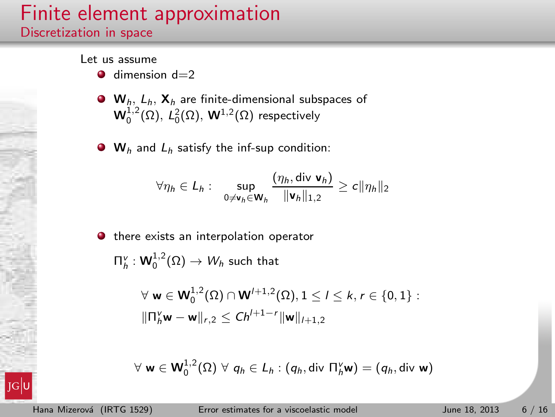### Finite element approximation Discretization in space

Let us assume

- $\bullet$  dimension  $d=2$
- $\bullet$  W<sub>h</sub>, L<sub>h</sub>, X<sub>h</sub> are finite-dimensional subspaces of  $\mathsf{W}^{1,2}_0(\Omega)$ ,  $\mathsf{L}^2_0(\Omega)$ ,  $\mathsf{W}^{1,2}(\Omega)$  respectively
- $\bullet$  W<sub>h</sub> and L<sub>h</sub> satisfy the inf-sup condition:

$$
\forall \eta_h \in L_h: \quad \sup_{0 \neq \mathbf{v}_h \in \mathbf{W}_h} \frac{(\eta_h, \text{div } \mathbf{v}_h)}{\|\mathbf{v}_h\|_{1,2}} \geq c \|\eta_h\|_2
$$

 $\bullet$  there exists an interpolation operator

 $\Pi_h^{\scriptscriptstyle V}:{\mathsf W}_0^{1,2}(\Omega)\rightarrow W_h$  such that

$$
\forall \mathbf{w} \in \mathbf{W}_0^{1,2}(\Omega) \cap \mathbf{W}^{l+1,2}(\Omega), 1 \leq l \leq k, r \in \{0,1\} :
$$
  

$$
\|\Pi_h^v \mathbf{w} - \mathbf{w}\|_{r,2} \leq Ch^{l+1-r} \|\mathbf{w}\|_{l+1,2}
$$

$$
\forall \mathbf{w} \in \mathbf{W}_0^{1,2}(\Omega) \ \forall \ q_h \in L_h : (q_h, \text{div } \Pi_h^{\vee} \mathbf{w}) = (q_h, \text{div } \mathbf{w})
$$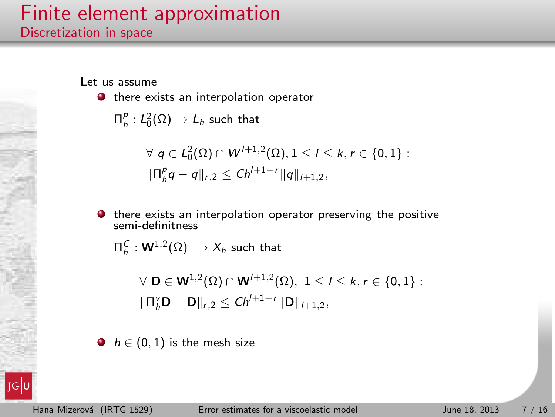### Finite element approximation Discretization in space

Let us assume

 $\bullet$  there exists an interpolation operator

 $\Pi^{\rho}_h: L_0^2(\Omega) \rightarrow L_h$  such that

$$
\forall q \in L_0^2(\Omega) \cap W^{l+1,2}(\Omega), 1 \leq l \leq k, r \in \{0,1\} :
$$
  

$$
\|\Pi_p^p q - q\|_{r,2} \leq Ch^{l+1-r} \|q\|_{l+1,2},
$$

 $\bullet$  there exists an interpolation operator preserving the positive semi-definitness

 $\Pi_{h}^{\,C}: {\mathsf W}^{1,2}(\Omega)\ \to X_h$  such that

$$
\forall \ \mathbf{D} \in \mathbf{W}^{1,2}(\Omega) \cap \mathbf{W}^{l+1,2}(\Omega), \ 1 \leq l \leq k, r \in \{0,1\} : \\ \|\mathbf{\Pi}_{h}^{\nu} \mathbf{D} - \mathbf{D}\|_{r,2} \leq C h^{l+1-r} \|\mathbf{D}\|_{l+1,2},
$$

 $\bullet$   $h \in (0,1)$  is the mesh size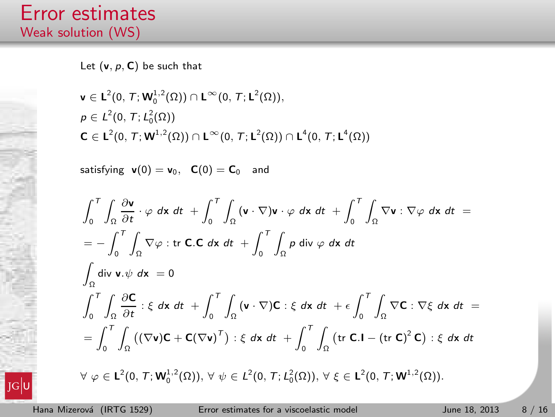Let  $(v, p, C)$  be such that

$$
\mathbf{v} \in \mathsf{L}^{2}(0, T; \mathbf{W}_{0}^{1,2}(\Omega)) \cap \mathsf{L}^{\infty}(0, T; \mathsf{L}^{2}(\Omega)),
$$
  
\n
$$
\rho \in L^{2}(0, T; L_{0}^{2}(\Omega))
$$
  
\n
$$
\mathbf{C} \in \mathsf{L}^{2}(0, T; \mathbf{W}^{1,2}(\Omega)) \cap \mathsf{L}^{\infty}(0, T; \mathsf{L}^{2}(\Omega)) \cap \mathsf{L}^{4}(0, T; \mathsf{L}^{4}(\Omega))
$$

satisfying  $v(0) = v_0$ ,  $C(0) = C_0$  and

$$
\int_0^T \int_{\Omega} \frac{\partial \mathbf{v}}{\partial t} \cdot \varphi \, dx \, dt + \int_0^T \int_{\Omega} (\mathbf{v} \cdot \nabla) \mathbf{v} \cdot \varphi \, dx \, dt + \int_0^T \int_{\Omega} \nabla \mathbf{v} : \nabla \varphi \, dx \, dt =
$$
\n
$$
= - \int_0^T \int_{\Omega} \nabla \varphi : \text{tr } \mathbf{C} \cdot \mathbf{C} \, dx \, dt + \int_0^T \int_{\Omega} \rho \, \text{div } \varphi \, dx \, dt
$$
\n
$$
\int_{\Omega} \text{div } \mathbf{v} \cdot \psi \, dx = 0
$$
\n
$$
\int_0^T \int_{\Omega} \frac{\partial \mathbf{C}}{\partial t} : \xi \, dx \, dt + \int_0^T \int_{\Omega} (\mathbf{v} \cdot \nabla) \mathbf{C} : \xi \, dx \, dt + \epsilon \int_0^T \int_{\Omega} \nabla \mathbf{C} : \nabla \xi \, dx \, dt =
$$
\n
$$
= \int_0^T \int_{\Omega} ((\nabla \mathbf{v}) \mathbf{C} + \mathbf{C} (\nabla \mathbf{v})^T) : \xi \, dx \, dt + \int_0^T \int_{\Omega} (\text{tr } \mathbf{C} \cdot \mathbf{I} - (\text{tr } \mathbf{C})^2 \mathbf{C}) : \xi \, dx \, dt
$$
\n
$$
\forall \varphi \in \mathbf{L}^2(0, T; \mathbf{W}_0^{1,2}(\Omega)), \forall \psi \in L^2(0, T; L_0^2(\Omega)), \forall \xi \in \mathbf{L}^2(0, T; \mathbf{W}^{1,2}(\Omega)).
$$

 $|JG|$ U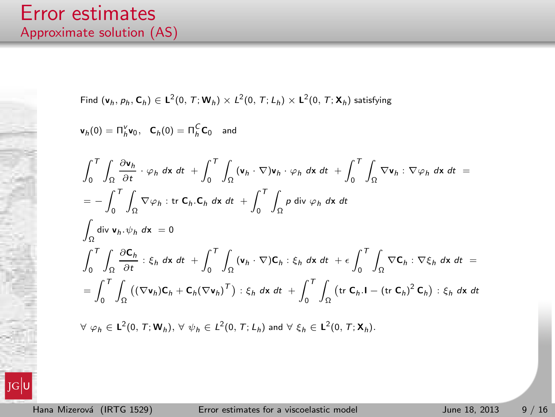#### Error estimates Approximate solution (AS)

Find 
$$
(\mathbf{v}_h, p_h, \mathbf{C}_h) \in \mathbf{L}^2(0, T; \mathbf{W}_h) \times \mathbf{L}^2(0, T; L_h) \times \mathbf{L}^2(0, T; \mathbf{X}_h)
$$
 satisfying  
\n
$$
\mathbf{v}_h(0) = \Pi_h^{\mathbf{v}} \mathbf{v}_0, \quad \mathbf{C}_h(0) = \Pi_h^{\mathbf{C}} \mathbf{C}_0 \quad \text{and}
$$
\n
$$
\int_0^T \int_{\Omega} \frac{\partial \mathbf{v}_h}{\partial t} \cdot \varphi_h \, dx \, dt + \int_0^T \int_{\Omega} (\mathbf{v}_h \cdot \nabla) \mathbf{v}_h \cdot \varphi_h \, dx \, dt + \int_0^T \int_{\Omega} \nabla \mathbf{v}_h \cdot \nabla \varphi_h \, dx \, dt =
$$
\n
$$
= - \int_0^T \int_{\Omega} \nabla \varphi_h : \text{tr } \mathbf{C}_h \cdot \mathbf{C}_h \, dx \, dt + \int_0^T \int_{\Omega} p \, \text{div } \varphi_h \, dx \, dt
$$
\n
$$
\int_{\Omega} \text{div } \mathbf{v}_h \cdot \psi_h \, dx = 0
$$
\n
$$
\int_0^T \int_{\Omega} \frac{\partial \mathbf{C}_h}{\partial t} : \xi_h \, dx \, dt + \int_0^T \int_{\Omega} (\mathbf{v}_h \cdot \nabla) \mathbf{C}_h : \xi_h \, dx \, dt + \epsilon \int_0^T \int_{\Omega} \nabla \mathbf{C}_h : \nabla \xi_h \, dx \, dt =
$$
\n
$$
= \int_0^T \int_{\Omega} ((\nabla \mathbf{v}_h) \mathbf{C}_h + \mathbf{C}_h (\nabla \mathbf{v}_h)^T) : \xi_h \, dx \, dt + \int_0^T \int_{\Omega} (\text{tr } \mathbf{C}_h \cdot \mathbf{I} - (\text{tr } \mathbf{C}_h)^2 \mathbf{C}_h) : \xi_h \, dx \, dt
$$
\n
$$
\forall \, \varphi_h \in \mathbf{L}^2(0, T; \mathbf{W}_h), \forall \, \psi_h \in \mathbf{L}^2(0, T; L_h
$$

 $|JG|$ U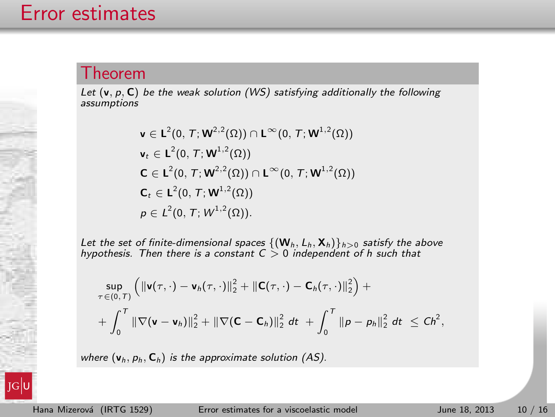#### Theorem

Let  $(v, p, C)$  be the weak solution (WS) satisfying additionally the following assumptions

$$
\mathbf{v} \in \mathsf{L}^{2}(0, T; \mathbf{W}^{2,2}(\Omega)) \cap \mathsf{L}^{\infty}(0, T; \mathbf{W}^{1,2}(\Omega))
$$
\n
$$
\mathbf{v}_{t} \in \mathsf{L}^{2}(0, T; \mathbf{W}^{1,2}(\Omega))
$$
\n
$$
\mathbf{C} \in \mathsf{L}^{2}(0, T; \mathbf{W}^{2,2}(\Omega)) \cap \mathsf{L}^{\infty}(0, T; \mathbf{W}^{1,2}(\Omega))
$$
\n
$$
\mathbf{C}_{t} \in \mathsf{L}^{2}(0, T; \mathbf{W}^{1,2}(\Omega))
$$
\n
$$
\rho \in L^{2}(0, T; W^{1,2}(\Omega)).
$$

Let the set of finite-dimensional spaces  $\{(\mathbf{W}_h, L_h, \mathbf{X}_h)\}_{h>0}$  satisfy the above hypothesis. Then there is a constant  $C > 0$  independent of h such that

$$
\sup_{\tau \in (0,\,T)} \left( \|\mathbf{v}(\tau,\cdot)-\mathbf{v}_h(\tau,\cdot)\|_2^2 + \|\mathbf{C}(\tau,\cdot)-\mathbf{C}_h(\tau,\cdot)\|_2^2 \right) + + \int_0^T \|\nabla(\mathbf{v}-\mathbf{v}_h)\|_2^2 + \|\nabla(\mathbf{C}-\mathbf{C}_h)\|_2^2 dt + \int_0^T \|\mathbf{p}-\mathbf{p}_h\|_2^2 dt \leq Ch^2,
$$

where  $(v_h, p_h, C_h)$  is the approximate solution (AS).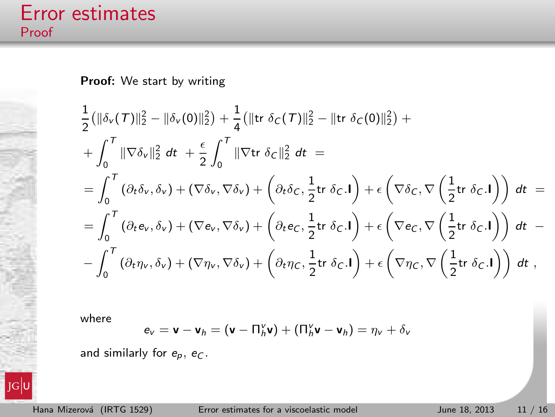$JG$ 

Proof: We start by writing

$$
\frac{1}{2}(\|\delta_{\mathbf{v}}(\mathcal{T})\|_{2}^{2} - \|\delta_{\mathbf{v}}(0)\|_{2}^{2}) + \frac{1}{4}(\|\mathrm{tr} \ \delta_{C}(\mathcal{T})\|_{2}^{2} - \|\mathrm{tr} \ \delta_{C}(0)\|_{2}^{2}) + \n+ \int_{0}^{T} \|\nabla \delta_{\mathbf{v}}\|_{2}^{2} dt + \frac{\epsilon}{2} \int_{0}^{T} \|\nabla \mathrm{tr} \ \delta_{C}\|_{2}^{2} dt = \n= \int_{0}^{T} (\partial_{t}\delta_{\mathbf{v}}, \delta_{\mathbf{v}}) + (\nabla \delta_{\mathbf{v}}, \nabla \delta_{\mathbf{v}}) + (\partial_{t}\delta_{C}, \frac{1}{2}\mathrm{tr} \ \delta_{C}.\mathbf{I}) + \epsilon (\nabla \delta_{C}, \nabla (\frac{1}{2}\mathrm{tr} \ \delta_{C}.\mathbf{I})) dt = \n= \int_{0}^{T} (\partial_{t}\mathbf{e}_{\mathbf{v}}, \delta_{\mathbf{v}}) + (\nabla \mathbf{e}_{\mathbf{v}}, \nabla \delta_{\mathbf{v}}) + (\partial_{t}\mathbf{e}_{C}, \frac{1}{2}\mathrm{tr} \ \delta_{C}.\mathbf{I}) + \epsilon (\nabla \mathbf{e}_{C}, \nabla (\frac{1}{2}\mathrm{tr} \ \delta_{C}.\mathbf{I})) dt - \n- \int_{0}^{T} (\partial_{t}\eta_{\mathbf{v}}, \delta_{\mathbf{v}}) + (\nabla \eta_{\mathbf{v}}, \nabla \delta_{\mathbf{v}}) + (\partial_{t}\eta_{C}, \frac{1}{2}\mathrm{tr} \ \delta_{C}.\mathbf{I}) + \epsilon (\nabla \eta_{C}, \nabla (\frac{1}{2}\mathrm{tr} \ \delta_{C}.\mathbf{I})) dt,
$$

where

$$
\mathbf{e}_v = \mathbf{v} - \mathbf{v}_h = (\mathbf{v} - \Pi_h^v \mathbf{v}) + (\Pi_h^v \mathbf{v} - \mathbf{v}_h) = \eta_v + \delta_v
$$

and similarly for  $e_p$ ,  $e_C$ .

Hana Mizerová (IRTG 1529) [Error estimates for a viscoelastic model](#page-0-0) June 18, 2013 11 / 16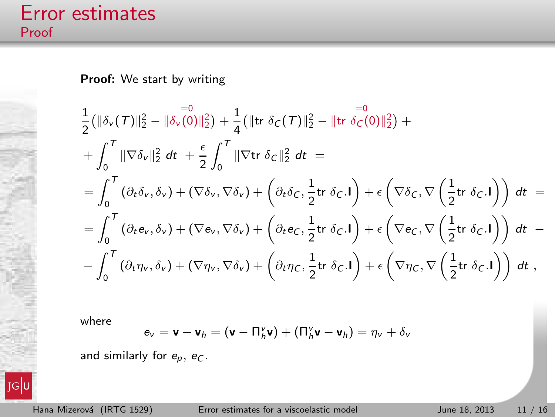$JG$ U

Proof: We start by writing

$$
\frac{1}{2}(\|\delta_{\mathbf{v}}(T)\|_{2}^{2}-\|\delta_{\mathbf{v}}(0)\|_{2}^{2})+\frac{1}{4}(\|\mathrm{tr}\ \delta_{C}(T)\|_{2}^{2}-\|\mathrm{tr}\ \delta_{C}(0)\|_{2}^{2})+\n+ \int_{0}^{T}\|\nabla\delta_{\mathbf{v}}\|_{2}^{2} dt + \frac{\epsilon}{2}\int_{0}^{T}\|\nabla\mathrm{tr}\ \delta_{C}\|_{2}^{2} dt =\n= \int_{0}^{T}(\partial_{t}\delta_{\mathbf{v}},\delta_{\mathbf{v}})+(\nabla\delta_{\mathbf{v}},\nabla\delta_{\mathbf{v}})+(\partial_{t}\delta_{C},\frac{1}{2}\mathrm{tr}\ \delta_{C}.\mathbf{I})+\epsilon(\nabla\delta_{C},\nabla\left(\frac{1}{2}\mathrm{tr}\ \delta_{C}.\mathbf{I}\right)) dt =\n= \int_{0}^{T}(\partial_{t}\mathbf{e}_{\mathbf{v}},\delta_{\mathbf{v}})+(\nabla\mathbf{e}_{\mathbf{v}},\nabla\delta_{\mathbf{v}})+(\partial_{t}\mathbf{e}_{C},\frac{1}{2}\mathrm{tr}\ \delta_{C}.\mathbf{I})+\epsilon(\nabla\mathbf{e}_{C},\nabla\left(\frac{1}{2}\mathrm{tr}\ \delta_{C}.\mathbf{I}\right)) dt -\n- \int_{0}^{T}(\partial_{t}\eta_{\mathbf{v}},\delta_{\mathbf{v}})+(\nabla\eta_{\mathbf{v}},\nabla\delta_{\mathbf{v}})+(\partial_{t}\eta_{C},\frac{1}{2}\mathrm{tr}\ \delta_{C}.\mathbf{I})+\epsilon(\nabla\eta_{C},\nabla\left(\frac{1}{2}\mathrm{tr}\ \delta_{C}.\mathbf{I}\right)) dt,
$$

where

$$
\mathbf{e}_v = \mathbf{v} - \mathbf{v}_h = (\mathbf{v} - \Pi_h^v \mathbf{v}) + (\Pi_h^v \mathbf{v} - \mathbf{v}_h) = \eta_v + \delta_v
$$

and similarly for  $e_p$ ,  $e_C$ .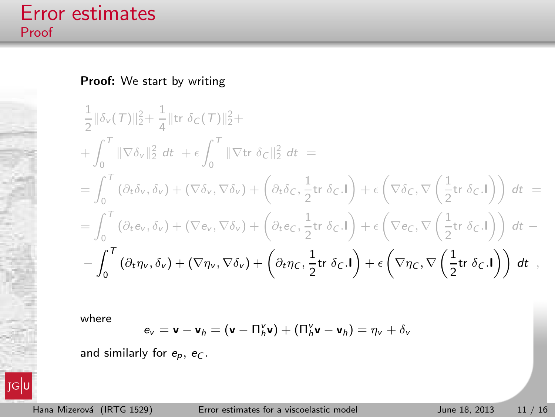$JG$ U

Proof: We start by writing

$$
\frac{1}{2} ||\delta_{\mathsf{v}}(\mathcal{T})||_2^2 + \frac{1}{4} ||\text{tr }\delta_{\mathsf{C}}(\mathcal{T})||_2^2 +
$$
\n
$$
+ \int_0^{\mathcal{T}} ||\nabla \delta_{\mathsf{v}}||_2^2 dt + \epsilon \int_0^{\mathcal{T}} ||\nabla \text{tr }\delta_{\mathsf{C}}||_2^2 dt =
$$
\n
$$
= \int_0^{\mathcal{T}} (\partial_t \delta_{\mathsf{v}}, \delta_{\mathsf{v}}) + (\nabla \delta_{\mathsf{v}}, \nabla \delta_{\mathsf{v}}) + (\partial_t \delta_{\mathsf{C}}, \frac{1}{2} \text{tr }\delta_{\mathsf{C}}.1) + \epsilon \left(\nabla \delta_{\mathsf{C}}, \nabla \left(\frac{1}{2} \text{tr }\delta_{\mathsf{C}}.1\right)\right) dt =
$$
\n
$$
= \int_0^{\mathcal{T}} (\partial_t e_{\mathsf{v}}, \delta_{\mathsf{v}}) + (\nabla e_{\mathsf{v}}, \nabla \delta_{\mathsf{v}}) + \left(\partial_t e_{\mathsf{C}}, \frac{1}{2} \text{tr }\delta_{\mathsf{C}}.1\right) + \epsilon \left(\nabla e_{\mathsf{C}}, \nabla \left(\frac{1}{2} \text{tr }\delta_{\mathsf{C}}.1\right)\right) dt -
$$
\n
$$
- \int_0^{\mathcal{T}} (\partial_t \eta_{\mathsf{v}}, \delta_{\mathsf{v}}) + (\nabla \eta_{\mathsf{v}}, \nabla \delta_{\mathsf{v}}) + \left(\partial_t \eta_{\mathsf{C}}, \frac{1}{2} \text{tr }\delta_{\mathsf{C}}.1\right) + \epsilon \left(\nabla \eta_{\mathsf{C}}, \nabla \left(\frac{1}{2} \text{tr }\delta_{\mathsf{C}}.1\right)\right) dt,
$$

where

$$
\mathbf{e}_v = \mathbf{v} - \mathbf{v}_h = (\mathbf{v} - \Pi_h^v \mathbf{v}) + (\Pi_h^v \mathbf{v} - \mathbf{v}_h) = \eta_v + \delta_v
$$

and similarly for  $e_p$ ,  $e_C$ .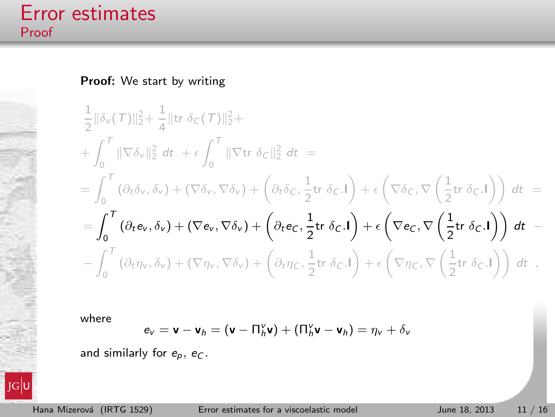$JG$ <sub>L</sub>

Proof: We start by writing

$$
\frac{1}{2} \|\delta_{v}(\mathcal{T})\|_{2}^{2} + \frac{1}{4} \|\text{tr }\delta_{C}(\mathcal{T})\|_{2}^{2} +
$$
\n
$$
+ \int_{0}^{\mathcal{T}} \|\nabla \delta_{v}\|_{2}^{2} dt + \epsilon \int_{0}^{\mathcal{T}} \|\nabla \text{tr }\delta_{C}\|_{2}^{2} dt =
$$
\n
$$
= \int_{0}^{\mathcal{T}} (\partial_{t}\delta_{v}, \delta_{v}) + (\nabla \delta_{v}, \nabla \delta_{v}) + (\partial_{t}\delta_{C}, \frac{1}{2}\text{tr }\delta_{C} \cdot \mathbf{I}) + \epsilon \left(\nabla \delta_{C}, \nabla \left(\frac{1}{2}\text{tr }\delta_{C} \cdot \mathbf{I}\right)\right) dt =
$$
\n
$$
= \int_{0}^{\mathcal{T}} (\partial_{t}\mathbf{e}_{v}, \delta_{v}) + (\nabla \mathbf{e}_{v}, \nabla \delta_{v}) + (\partial_{t}\mathbf{e}_{c}, \frac{1}{2}\text{tr }\delta_{C} \cdot \mathbf{I}) + \epsilon \left(\nabla \mathbf{e}_{c}, \nabla \left(\frac{1}{2}\text{tr }\delta_{C} \cdot \mathbf{I}\right)\right) dt -
$$
\n
$$
- \int_{0}^{\mathcal{T}} (\partial_{t}\eta_{v}, \delta_{v}) + (\nabla \eta_{v}, \nabla \delta_{v}) + (\partial_{t}\eta_{C}, \frac{1}{2}\text{tr }\delta_{C} \cdot \mathbf{I}) + \epsilon \left(\nabla \eta_{C}, \nabla \left(\frac{1}{2}\text{tr }\delta_{C} \cdot \mathbf{I}\right)\right) dt,
$$

where

$$
\mathbf{e}_v = \mathbf{v} - \mathbf{v}_h = (\mathbf{v} - \Pi_h^v \mathbf{v}) + (\Pi_h^v \mathbf{v} - \mathbf{v}_h) = \eta_v + \delta_v
$$

and similarly for  $e_p$ ,  $e_C$ .

Hana Mizerová (IRTG 1529) [Error estimates for a viscoelastic model](#page-0-0) June 18, 2013 11 / 16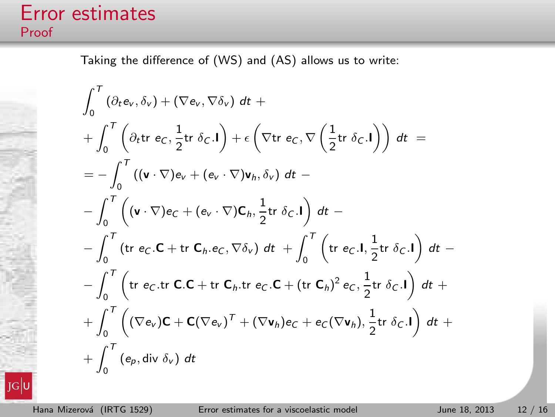Taking the difference of (WS) and (AS) allows us to write:

$$
\int_{0}^{T} (\partial_{t}e_{v}, \delta_{v}) + (\nabla e_{v}, \nabla \delta_{v}) dt +
$$
\n
$$
+ \int_{0}^{T} (\partial_{t}tr \ e_{C}, \frac{1}{2}tr \ \delta_{C}.I) + \epsilon (\nabla tr \ e_{C}, \nabla (\frac{1}{2}tr \ \delta_{C}.I)) dt =
$$
\n
$$
= - \int_{0}^{T} ((\mathbf{v} \cdot \nabla) e_{v} + (e_{v} \cdot \nabla) \mathbf{v}_{h}, \delta_{v}) dt -
$$
\n
$$
- \int_{0}^{T} (\mathbf{v} \cdot \nabla) e_{C} + (e_{v} \cdot \nabla) \mathbf{C}_{h}, \frac{1}{2}tr \ \delta_{C}.I) dt -
$$
\n
$$
- \int_{0}^{T} (tr \ e_{C}.C + tr \ \mathbf{C}_{h}.e_{C}, \nabla \delta_{v}) dt + \int_{0}^{T} (tr \ e_{C}.I, \frac{1}{2}tr \ \delta_{C}.I) dt -
$$
\n
$$
- \int_{0}^{T} (tr \ e_{C}.tr \ \mathbf{C}.C + tr \ \mathbf{C}_{h}.tr \ e_{C}.C + (tr \ \mathbf{C}_{h})^{2} e_{C}, \frac{1}{2}tr \ \delta_{C}.I) dt +
$$
\n
$$
+ \int_{0}^{T} ((\nabla e_{v})\mathbf{C} + \mathbf{C}(\nabla e_{v})^{T} + (\nabla \mathbf{v}_{h})e_{C} + e_{C}(\nabla \mathbf{v}_{h}), \frac{1}{2}tr \ \delta_{C}.I) dt +
$$
\n
$$
+ \int_{0}^{T} (e_{p}, div \ \delta_{v}) dt
$$

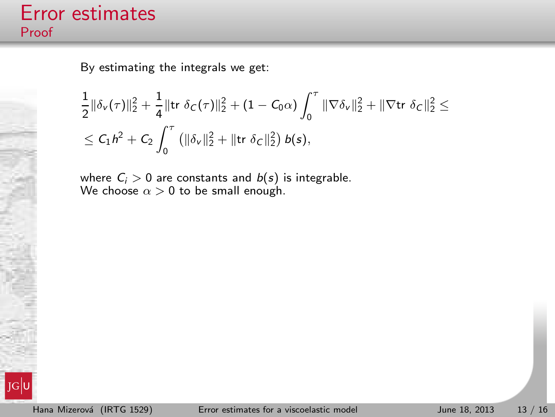By estimating the integrals we get:

$$
\begin{aligned}\n&\frac{1}{2} \|\delta_{\nu}(\tau)\|_{2}^{2}+\frac{1}{4} \|\mathrm{tr}\;\delta_{C}(\tau)\|_{2}^{2}+(1-C_{0}\alpha)\int_{0}^{\tau}\|\nabla \delta_{\nu}\|_{2}^{2}+\|\nabla \mathrm{tr}\;\delta_{C}\|_{2}^{2} \leq\\ &\leq C_{1}h^{2}+C_{2}\int_{0}^{\tau}\left(\|\delta_{\nu}\|_{2}^{2}+\|\mathrm{tr}\;\delta_{C}\|_{2}^{2}\right)b(s),\n\end{aligned}
$$

where  $C_i > 0$  are constants and  $b(s)$  is integrable. We choose  $\alpha > 0$  to be small enough.

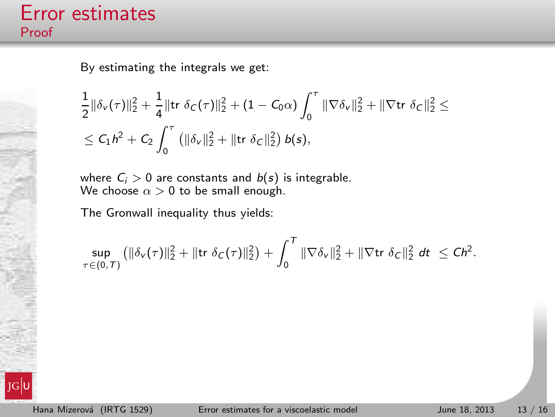By estimating the integrals we get:

$$
\begin{aligned}\n&\frac{1}{2} \|\delta_{\nu}(\tau)\|_{2}^{2}+\frac{1}{4} \|\mathrm{tr}\;\delta_{C}(\tau)\|_{2}^{2}+(1-C_{0}\alpha)\int_{0}^{\tau}\|\nabla \delta_{\nu}\|_{2}^{2}+\|\nabla \mathrm{tr}\;\delta_{C}\|_{2}^{2} \leq\\ &\leq C_{1}h^{2}+C_{2}\int_{0}^{\tau}\left(\|\delta_{\nu}\|_{2}^{2}+\|\mathrm{tr}\;\delta_{C}\|_{2}^{2}\right)b(s),\n\end{aligned}
$$

where  $C_i > 0$  are constants and  $b(s)$  is integrable. We choose  $\alpha > 0$  to be small enough.

The Gronwall inequality thus yields:

$$
\sup_{\tau \in (0,\,T)} \left( \|\delta_{\nu}(\tau)\|_2^2 + \|\text{tr } \delta_{\mathcal{C}}(\tau)\|_2^2 \right) + \int_0^T \|\nabla \delta_{\nu}\|_2^2 + \|\nabla \text{tr } \delta_{\mathcal{C}}\|_2^2 \, dt \, \leq Ch^2.
$$

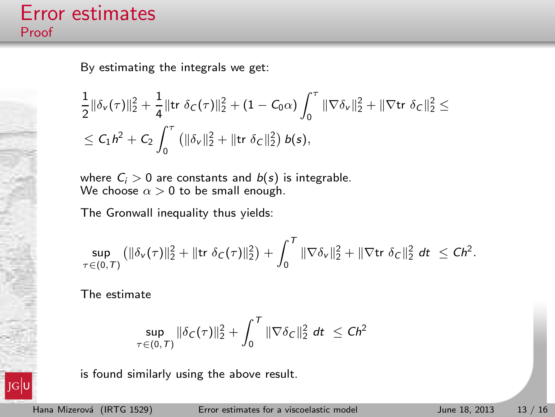By estimating the integrals we get:

$$
\begin{aligned}\n&\frac{1}{2} \|\delta_{\nu}(\tau)\|_{2}^{2}+\frac{1}{4} \|\mathrm{tr}\;\delta_{C}(\tau)\|_{2}^{2}+(1-C_{0}\alpha)\int_{0}^{\tau}\|\nabla \delta_{\nu}\|_{2}^{2}+\|\nabla \mathrm{tr}\;\delta_{C}\|_{2}^{2} \leq\\ &\leq C_{1}h^{2}+C_{2}\int_{0}^{\tau}\left(\|\delta_{\nu}\|_{2}^{2}+\|\mathrm{tr}\;\delta_{C}\|_{2}^{2}\right)b(s),\n\end{aligned}
$$

where  $C_i > 0$  are constants and  $b(s)$  is integrable. We choose  $\alpha > 0$  to be small enough.

The Gronwall inequality thus yields:

$$
\sup_{\tau \in (0,\,T)} \left( \|\delta_{\nu}(\tau)\|_2^2 + \|\text{tr } \delta_C(\tau)\|_2^2 \right) + \int_0^T \|\nabla \delta_{\nu}\|_2^2 + \|\nabla \text{tr } \delta_C\|_2^2 \, dt \, \leq Ch^2.
$$

The estimate

$$
\sup_{\tau \in (0,\,T)} \|\delta_C(\tau)\|_2^2 + \int_0^T \|\nabla \delta_C\|_2^2 \, dt \, \leq C h^2
$$

is found similarly using the above result.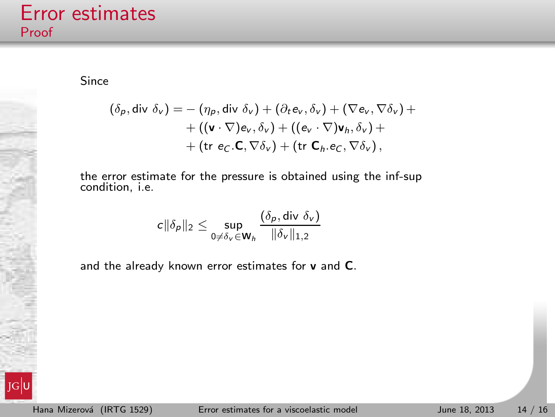Since

$$
(\delta_{p}, \text{div }\delta_{v}) = -(\eta_{p}, \text{div }\delta_{v}) + (\partial_{t}\mathbf{e}_{v}, \delta_{v}) + (\nabla\mathbf{e}_{v}, \nabla\delta_{v}) + + ((\mathbf{v} \cdot \nabla)\mathbf{e}_{v}, \delta_{v}) + ((\mathbf{e}_{v} \cdot \nabla)\mathbf{v}_{h}, \delta_{v}) + + (\text{tr }\mathbf{e}_{C}. \mathbf{C}, \nabla\delta_{v}) + (\text{tr }\mathbf{C}_{h}. \mathbf{e}_{C}, \nabla\delta_{v}),
$$

the error estimate for the pressure is obtained using the inf-sup condition, i.e.

$$
c||\delta_p||_2 \leq \sup_{0 \neq \delta_v \in \mathbf{W}_h} \frac{(\delta_p, \operatorname{div} \delta_v)}{\|\delta_v\|_{1,2}}
$$

and the already known error estimates for v and C.

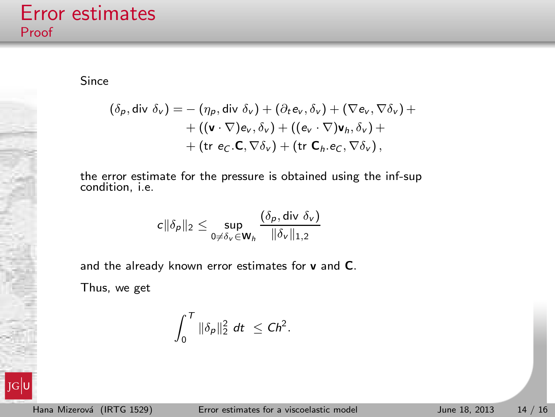Since

$$
(\delta_{p}, \text{div }\delta_{v}) = -(\eta_{p}, \text{div }\delta_{v}) + (\partial_{t}\mathbf{e}_{v}, \delta_{v}) + (\nabla\mathbf{e}_{v}, \nabla\delta_{v}) + + ((\mathbf{v} \cdot \nabla)\mathbf{e}_{v}, \delta_{v}) + ((\mathbf{e}_{v} \cdot \nabla)\mathbf{v}_{h}, \delta_{v}) + + (\text{tr }\mathbf{e}_{C}. \mathbf{C}, \nabla\delta_{v}) + (\text{tr }\mathbf{C}_{h}. \mathbf{e}_{C}, \nabla\delta_{v}),
$$

the error estimate for the pressure is obtained using the inf-sup condition, i.e.

$$
c||\delta_p||_2 \leq \sup_{0 \neq \delta_v \in \mathbf{W}_h} \frac{(\delta_p, \text{div }\delta_v)}{\|\delta_v\|_{1,2}}
$$

and the already known error estimates for v and C.

Thus, we get

$$
\int_0^T \|\delta_p\|_2^2 dt \leq Ch^2.
$$

JG|l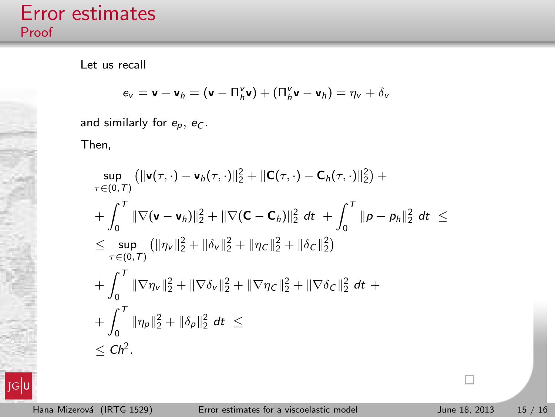Let us recall

$$
\mathbf{e}_{v} = \mathbf{v} - \mathbf{v}_{h} = (\mathbf{v} - \mathbf{\Pi}_{h}^{v} \mathbf{v}) + (\mathbf{\Pi}_{h}^{v} \mathbf{v} - \mathbf{v}_{h}) = \eta_{v} + \delta_{v}
$$

and similarly for  $e_p$ ,  $e_C$ .

Then,

$$
\sup_{\tau \in (0,\tau)} (||\mathbf{v}(\tau,\cdot) - \mathbf{v}_h(\tau,\cdot)||_2^2 + ||\mathbf{C}(\tau,\cdot) - \mathbf{C}_h(\tau,\cdot)||_2^2) +
$$
\n
$$
+ \int_0^{\tau} ||\nabla(\mathbf{v} - \mathbf{v}_h)||_2^2 + ||\nabla(\mathbf{C} - \mathbf{C}_h)||_2^2 dt + \int_0^{\tau} ||\mathbf{p} - \mathbf{p}_h||_2^2 dt \le
$$
\n
$$
\leq \sup_{\tau \in (0,\tau)} (||\eta_V||_2^2 + ||\delta_V||_2^2 + ||\eta_C||_2^2 + ||\delta_C||_2^2)
$$
\n
$$
+ \int_0^{\tau} ||\nabla \eta_V||_2^2 + ||\nabla \delta_V||_2^2 + ||\nabla \eta_C||_2^2 + ||\nabla \delta_C||_2^2 dt +
$$
\n
$$
+ \int_0^{\tau} ||\eta_P||_2^2 + ||\delta_P||_2^2 dt \le
$$
\n
$$
\leq Ch^2.
$$



 $\Box$